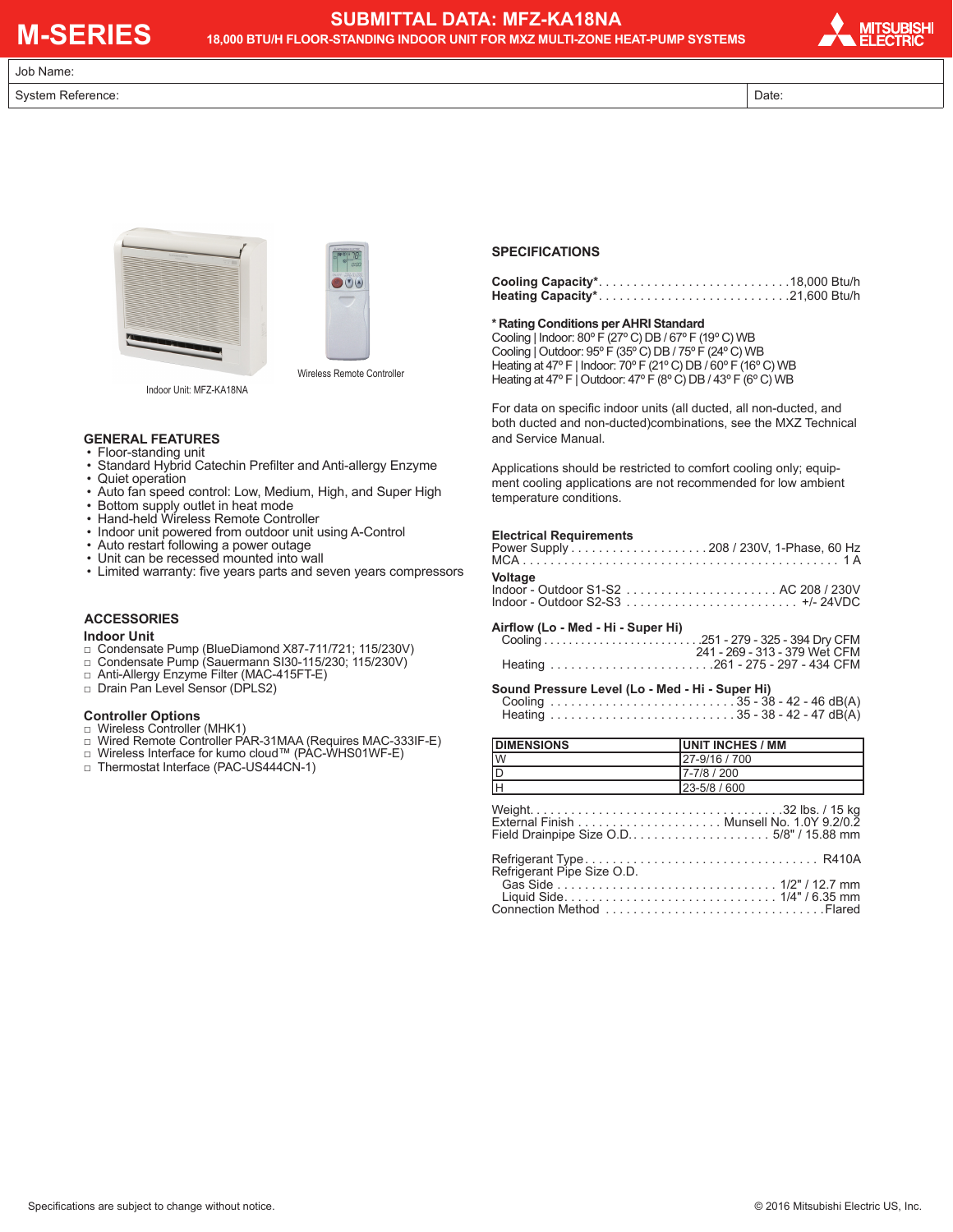# **M-SERIES**

Job Name:

### **SUBMITTAL DATA: MFZ-KA18NA**

**18,000 BTU/H FLOOR-STANDING INDOOR UNIT FOR MXZ MULTI-ZONE HEAT-PUMP SYSTEMS**



System Reference: <br>
Date: Date: Date: Date: Date: Date: Date: Date: Date: Date: Date: Date: Date: Date: Date: Date: Date: Date: D





Indoor Unit: MFZ-KA18NA

#### **GENERAL FEATURES**

- Floor-standing unit • Standard Hybrid Catechin Prefilter and Anti-allergy Enzyme
- Quiet operation
- Auto fan speed control: Low, Medium, High, and Super High
- Bottom supply outlet in heat mode
- Hand-held Wireless Remote Controller
- Indoor unit powered from outdoor unit using A-Control
- Auto restart following a power outage
- Unit can be recessed mounted into wall
- Limited warranty: five years parts and seven years compressors

#### **ACCESSORIES**

#### **Indoor Unit**

- □ Condensate Pump (BlueDiamond X87-711/721; 115/230V)
- □ Condensate Pump (Sauermann SI30-115/230; 115/230V)
- □ Anti-Allergy Enzyme Filter (MAC-415FT-E)
- □ Drain Pan Level Sensor (DPLS2)

#### **Controller Options**

- □ Wireless Controller (MHK1)
- □ Wired Remote Controller PAR-31MAA (Requires MAC-333IF-E)
- □ Wireless Interface for kumo cloud™ (PAC-WHS01WF-E)
- □ Thermostat Interface (PAC-US444CN-1)

#### **SPECIFICATIONS**

#### **\* Rating Conditions per AHRI Standard**

Cooling | Indoor: 80º F (27º C) DB / 67º F (19º C) WB Cooling | Outdoor: 95º F (35º C) DB / 75º F (24º C) WB Heating at 47º F | Indoor: 70º F (21º C) DB / 60º F (16º C) WB Heating at 47° F | Outdoor:  $47^{\circ}$  F (8° C) DB /  $43^{\circ}$  F (6° C) WB

For data on specific indoor units (all ducted, all non-ducted, and both ducted and non-ducted)combinations, see the MXZ Technical and Service Manual.

Applications should be restricted to comfort cooling only; equipment cooling applications are not recommended for low ambient temperature conditions.

#### **Electrical Requirements**

#### **Airflow (Lo - Med - Hi - Super Hi)**

 Cooling . 251 - 279 - 325 - 394 Dry CFM 241 - 269 - 313 - 379 Wet CFM Heating . 261 - 275 - 297 - 434 CFM

#### **Sound Pressure Level (Lo - Med - Hi - Super Hi)**

Cooling  $\ldots \ldots \ldots \ldots \ldots \ldots \ldots \ldots \ldots \ldots \ldots$  35 - 38 - 42 - 46 dB(A) Heating . 35 - 38 - 42 - 47 dB(A)

| <b>DIMENSIONS</b>       | <b>IUNIT INCHES / MM</b> |
|-------------------------|--------------------------|
| <u>lw</u>               | 27-9/16 / 700            |
| $\frac{1}{\frac{D}{H}}$ | 7-7/8 / 200              |
|                         | 23-5/8 / 600             |
|                         |                          |
|                         |                          |
|                         |                          |